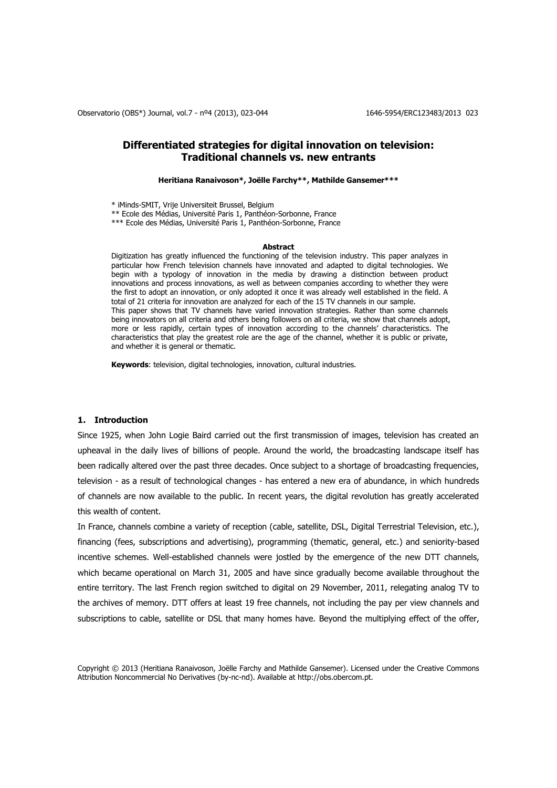# **Differentiated strategies for digital innovation on television: Traditional channels vs. new entrants**

**Heritiana Ranaivoson\*, Joëlle Farchy\*\*, Mathilde Gansemer\*\*\***

\* iMinds-SMIT, Vrije Universiteit Brussel, Belgium

\*\* Ecole des Médias, Université Paris 1, Panthéon-Sorbonne, France

\*\*\* Ecole des Médias, Université Paris 1, Panthéon-Sorbonne, France

#### **Abstract**

Digitization has greatly influenced the functioning of the television industry. This paper analyzes in particular how French television channels have innovated and adapted to digital technologies. We begin with a typology of innovation in the media by drawing a distinction between product innovations and process innovations, as well as between companies according to whether they were the first to adopt an innovation, or only adopted it once it was already well established in the field. A total of 21 criteria for innovation are analyzed for each of the 15 TV channels in our sample. This paper shows that TV channels have varied innovation strategies. Rather than some channels being innovators on all criteria and others being followers on all criteria, we show that channels adopt, more or less rapidly, certain types of innovation according to the channels' characteristics. The characteristics that play the greatest role are the age of the channel, whether it is public or private, and whether it is general or thematic.

**Keywords**: television, digital technologies, innovation, cultural industries.

#### **1. Introduction**

Since 1925, when John Logie Baird carried out the first transmission of images, television has created an upheaval in the daily lives of billions of people. Around the world, the broadcasting landscape itself has been radically altered over the past three decades. Once subject to a shortage of broadcasting frequencies, television - as a result of technological changes - has entered a new era of abundance, in which hundreds of channels are now available to the public. In recent years, the digital revolution has greatly accelerated this wealth of content.

In France, channels combine a variety of reception (cable, satellite, DSL, Digital Terrestrial Television, etc.), financing (fees, subscriptions and advertising), programming (thematic, general, etc.) and seniority-based incentive schemes. Well-established channels were jostled by the emergence of the new DTT channels, which became operational on March 31, 2005 and have since gradually become available throughout the entire territory. The last French region switched to digital on 29 November, 2011, relegating analog TV to the archives of memory. DTT offers at least 19 free channels, not including the pay per view channels and subscriptions to cable, satellite or DSL that many homes have. Beyond the multiplying effect of the offer,

Copyright © 2013 (Heritiana Ranaivoson, Joëlle Farchy and Mathilde Gansemer). Licensed under the Creative Commons Attribution Noncommercial No Derivatives (by-nc-nd). Available at http://obs.obercom.pt.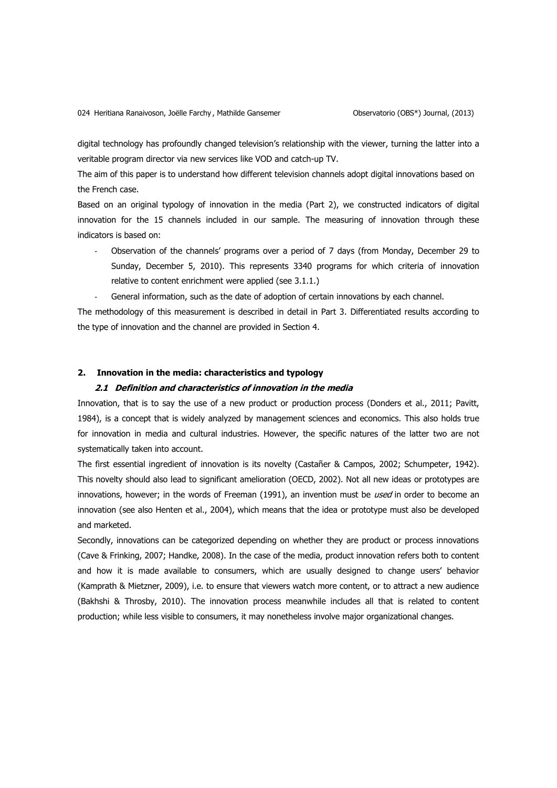digital technology has profoundly changed television's relationship with the viewer, turning the latter into a veritable program director via new services like VOD and catch-up TV.

The aim of this paper is to understand how different television channels adopt digital innovations based on the French case.

Based on an original typology of innovation in the media (Part 2), we constructed indicators of digital innovation for the 15 channels included in our sample. The measuring of innovation through these indicators is based on:

- Observation of the channels' programs over a period of 7 days (from Monday, December 29 to Sunday, December 5, 2010). This represents 3340 programs for which criteria of innovation relative to content enrichment were applied (see 3.1.1.)
- General information, such as the date of adoption of certain innovations by each channel.

The methodology of this measurement is described in detail in Part 3. Differentiated results according to the type of innovation and the channel are provided in Section 4.

### **2. Innovation in the media: characteristics and typology**

### **2.1 Definition and characteristics of innovation in the media**

Innovation, that is to say the use of a new product or production process [\(Donders et al., 2011;](#page-17-0) [Pavitt,](#page-18-0)  [1984\)](#page-18-0), is a concept that is widely analyzed by management sciences and economics. This also holds true for innovation in media and cultural industries. However, the specific natures of the latter two are not systematically taken into account.

The first essential ingredient of innovation is its novelty [\(Castañer & Campos, 2002;](#page-16-0) [Schumpeter, 1942\)](#page-18-1). This novelty should also lead to significant amelioration [\(OECD, 2002\)](#page-17-1). Not all new ideas or prototypes are innovations, however; in the words of Freeman [\(1991\)](#page-17-2), an invention must be used in order to become an innovation [\(see also Henten et al., 2004\)](#page-17-3), which means that the idea or prototype must also be developed and marketed.

Secondly, innovations can be categorized depending on whether they are product or process innovations [\(Cave & Frinking, 2007;](#page-16-1) [Handke, 2008\)](#page-17-4). In the case of the media, product innovation refers both to content and how it is made available to consumers, which are usually designed to change users' behavior [\(Kamprath & Mietzner, 2009\)](#page-17-5), i.e. to ensure that viewers watch more content, or to attract a new audience [\(Bakhshi & Throsby, 2010\)](#page-16-2). The innovation process meanwhile includes all that is related to content production; while less visible to consumers, it may nonetheless involve major organizational changes.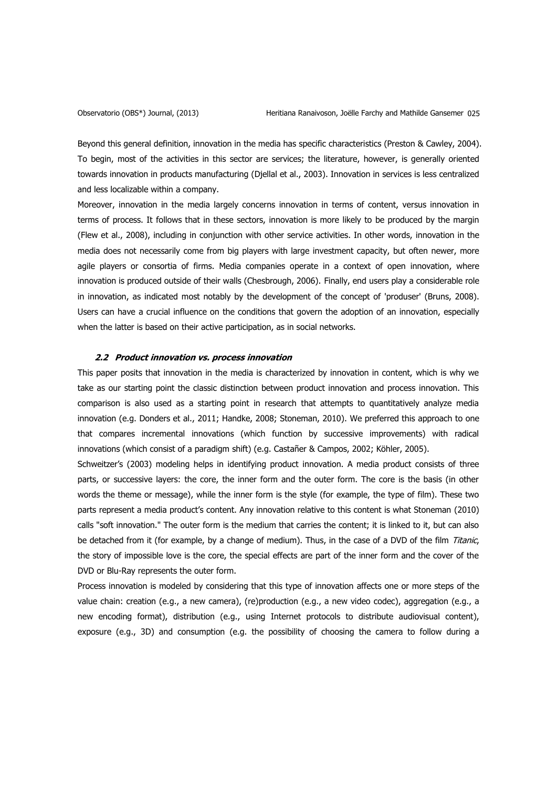Beyond this general definition, innovation in the media has specific characteristics [\(Preston & Cawley, 2004\)](#page-18-2). To begin, most of the activities in this sector are services; the literature, however, is generally oriented towards innovation in products manufacturing [\(Djellal et al., 2003\)](#page-17-6). Innovation in services is less centralized and less localizable within a company.

Moreover, innovation in the media largely concerns innovation in terms of content, versus innovation in terms of process. It follows that in these sectors, innovation is more likely to be produced by the margin [\(Flew et al., 2008\)](#page-17-7), including in conjunction with other service activities. In other words, innovation in the media does not necessarily come from big players with large investment capacity, but often newer, more agile players or consortia of firms. Media companies operate in a context of open innovation, where innovation is produced outside of their walls [\(Chesbrough, 2006\)](#page-16-3). Finally, end users play a considerable role in innovation, as indicated most notably by the development of the concept of 'produser' [\(Bruns, 2008\)](#page-16-4). Users can have a crucial influence on the conditions that govern the adoption of an innovation, especially when the latter is based on their active participation, as in social networks.

#### **2.2 Product innovation vs. process innovation**

This paper posits that innovation in the media is characterized by innovation in content, which is why we take as our starting point the classic distinction between product innovation and process innovation. This comparison is also used as a starting point in research that attempts to quantitatively analyze media innovation (e.g. [Donders et al., 2011;](#page-17-0) [Handke, 2008;](#page-17-4) [Stoneman, 2010\)](#page-18-3). We preferred this approach to one that compares incremental innovations (which function by successive improvements) with radical innovations (which consist of a paradigm shift) (e.g. [Castañer & Campos, 2002;](#page-16-0) [Köhler, 2005\)](#page-17-8).

Schweitzer's [\(2003\)](#page-18-4) modeling helps in identifying product innovation. A media product consists of three parts, or successive layers: the core, the inner form and the outer form. The core is the basis (in other words the theme or message), while the inner form is the style (for example, the type of film). These two parts represent a media product's content. Any innovation relative to this content is what Stoneman [\(2010\)](#page-18-3) calls "soft innovation." The outer form is the medium that carries the content; it is linked to it, but can also be detached from it (for example, by a change of medium). Thus, in the case of a DVD of the film Titanic, the story of impossible love is the core, the special effects are part of the inner form and the cover of the DVD or Blu-Ray represents the outer form.

Process innovation is modeled by considering that this type of innovation affects one or more steps of the value chain: creation (e.g., a new camera), (re)production (e.g., a new video codec), aggregation (e.g., a new encoding format), distribution (e.g., using Internet protocols to distribute audiovisual content), exposure (e.g., 3D) and consumption (e.g. the possibility of choosing the camera to follow during a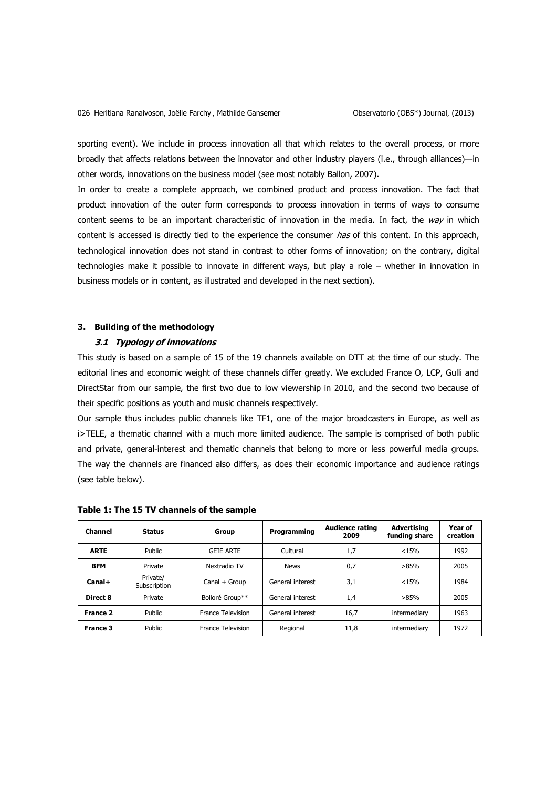sporting event). We include in process innovation all that which relates to the overall process, or more broadly that affects relations between the innovator and other industry players (i.e., through alliances)—in other words, innovations on the business model [\(see most notably Ballon, 2007\)](#page-16-5).

In order to create a complete approach, we combined product and process innovation. The fact that product innovation of the outer form corresponds to process innovation in terms of ways to consume content seems to be an important characteristic of innovation in the media. In fact, the  $way$  in which content is accessed is directly tied to the experience the consumer has of this content. In this approach, technological innovation does not stand in contrast to other forms of innovation; on the contrary, digital technologies make it possible to innovate in different ways, but play a role – whether in innovation in business models or in content, as illustrated and developed in the next section).

## **3. Building of the methodology**

## **3.1 Typology of innovations**

This study is based on a sample of 15 of the 19 channels available on DTT at the time of our study. The editorial lines and economic weight of these channels differ greatly. We excluded France O, LCP, Gulli and DirectStar from our sample, the first two due to low viewership in 2010, and the second two because of their specific positions as youth and music channels respectively.

Our sample thus includes public channels like TF1, one of the major broadcasters in Europe, as well as i>TELE, a thematic channel with a much more limited audience. The sample is comprised of both public and private, general-interest and thematic channels that belong to more or less powerful media groups. The way the channels are financed also differs, as does their economic importance and audience ratings (see table below).

| <b>Channel</b>  | <b>Status</b>            | Group                    | Programming      | Audience rating<br>2009 | Advertising<br>funding share | Year of<br>creation |
|-----------------|--------------------------|--------------------------|------------------|-------------------------|------------------------------|---------------------|
| <b>ARTE</b>     | <b>Public</b>            | <b>GEIE ARTE</b>         | Cultural         | 1,7                     | < 15%                        | 1992                |
| <b>BFM</b>      | Private                  | Nextradio TV             | <b>News</b>      | 0,7                     |                              | 2005                |
| Canal+          | Private/<br>Subscription | Canal + Group            | General interest | 3,1                     | < 15%                        | 1984                |
| Direct 8        | Private                  | Bolloré Group**          | General interest | 1,4                     | >85%                         | 2005                |
| France 2        | <b>Public</b>            | France Television        | General interest | 16,7                    | intermediary                 | 1963                |
| <b>France 3</b> | Public                   | <b>France Television</b> | Regional         | 11,8                    | intermediary                 | 1972                |

**Table 1: The 15 TV channels of the sample**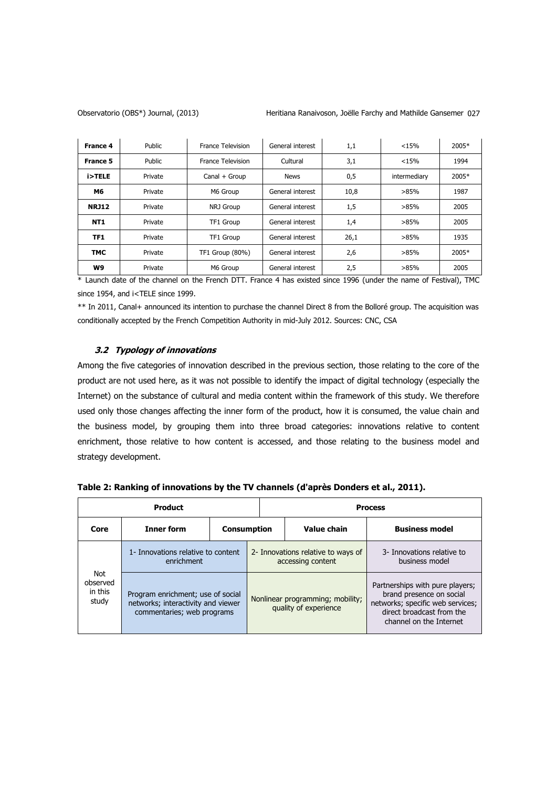Observatorio (OBS\*) Journal, (2013) Heritiana Ranaivoson, Joëlle Farchy and Mathilde Gansemer 027

| <b>France 4</b> | Public            | France Television | General interest | 1,1  | < 15% | 2005* |
|-----------------|-------------------|-------------------|------------------|------|-------|-------|
| <b>France 5</b> | Public            | France Television | Cultural         | 3,1  | < 15% | 1994  |
| i>TELE          | Private           | Canal + Group     | <b>News</b>      | 0,5  |       | 2005* |
| M6              | Private           | M6 Group          | General interest | 10,8 | >85%  | 1987  |
| <b>NRJ12</b>    | Private           | NRJ Group         | General interest | 1,5  | >85%  | 2005  |
| <b>NT1</b>      | Private           | TF1 Group         | General interest | 1,4  | >85%  | 2005  |
| TF1             | Private           | TF1 Group         | General interest | 26,1 | >85%  | 1935  |
| <b>TMC</b>      | Private           | TF1 Group (80%)   | General interest | 2,6  | >85%  | 2005* |
| W9              | Private<br>$\sim$ | M6 Group          | General interest | 2,5  | >85%  | 2005  |

\* Launch date of the channel on the French DTT. France 4 has existed since 1996 (under the name of Festival), TMC since 1954, and i<TELE since 1999.

\*\* In 2011, Canal+ announced its intention to purchase the channel Direct 8 from the Bolloré group. The acquisition was conditionally accepted by the French Competition Authority in mid-July 2012. Sources: CNC, CSA

# **3.2 Typology of innovations**

Among the five categories of innovation described in the previous section, those relating to the core of the product are not used here, as it was not possible to identify the impact of digital technology (especially the Internet) on the substance of cultural and media content within the framework of this study. We therefore used only those changes affecting the inner form of the product, how it is consumed, the value chain and the business model, by grouping them into three broad categories: innovations relative to content enrichment, those relative to how content is accessed, and those relating to the business model and strategy development.

|                                     | <b>Product</b>                                                                                        |                    | <b>Process</b>                                            |                                                                                                                                                         |  |  |  |  |
|-------------------------------------|-------------------------------------------------------------------------------------------------------|--------------------|-----------------------------------------------------------|---------------------------------------------------------------------------------------------------------------------------------------------------------|--|--|--|--|
| Core                                | <b>Inner form</b>                                                                                     | <b>Consumption</b> | Value chain                                               | <b>Business model</b>                                                                                                                                   |  |  |  |  |
|                                     | 1- Innovations relative to content<br>enrichment                                                      |                    | 2- Innovations relative to ways of<br>accessing content   | 3- Innovations relative to<br>business model                                                                                                            |  |  |  |  |
| Not<br>observed<br>in this<br>study | Program enrichment; use of social<br>networks; interactivity and viewer<br>commentaries; web programs |                    | Nonlinear programming; mobility;<br>quality of experience | Partnerships with pure players;<br>brand presence on social<br>networks; specific web services;<br>direct broadcast from the<br>channel on the Internet |  |  |  |  |

| Table 2: Ranking of innovations by the TV channels (d'après Donders et al., 2011). |  |
|------------------------------------------------------------------------------------|--|
|                                                                                    |  |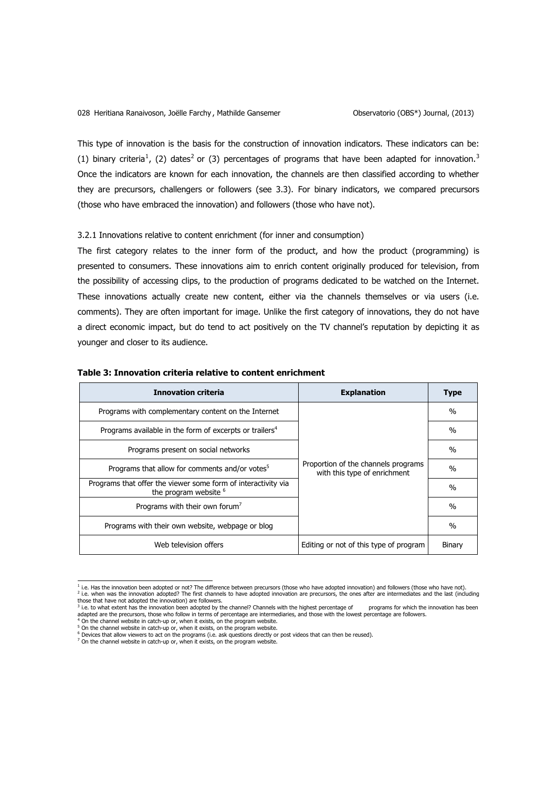This type of innovation is the basis for the construction of innovation indicators. These indicators can be: (1) binary criteria<sup>1</sup>, (2) dates<sup>2</sup> or (3) percentages of programs that have been adapted for innovation.<sup>3</sup> Once the indicators are known for each innovation, the channels are then classified according to whether they are precursors, challengers or followers (see 3.3). For binary indicators, we compared precursors (those who have embraced the innovation) and followers (those who have not).

#### 3.2.1 Innovations relative to content enrichment (for inner and consumption)

The first category relates to the inner form of the product, and how the product (programming) is presented to consumers. These innovations aim to enrich content originally produced for television, from the possibility of accessing clips, to the production of programs dedicated to be watched on the Internet. These innovations actually create new content, either via the channels themselves or via users (i.e. comments). They are often important for image. Unlike the first category of innovations, they do not have a direct economic impact, but do tend to act positively on the TV channel's reputation by depicting it as younger and closer to its audience.

| <b>Innovation criteria</b>                                                                        | <b>Explanation</b>                                                  | <b>Type</b>   |
|---------------------------------------------------------------------------------------------------|---------------------------------------------------------------------|---------------|
| Programs with complementary content on the Internet                                               |                                                                     | $\frac{0}{0}$ |
| Programs available in the form of excerpts or trailers <sup>4</sup>                               |                                                                     | $\%$          |
| Programs present on social networks                                                               |                                                                     | $\%$          |
| Programs that allow for comments and/or votes <sup>5</sup>                                        | Proportion of the channels programs<br>with this type of enrichment | $\frac{0}{0}$ |
| Programs that offer the viewer some form of interactivity via<br>the program website <sup>6</sup> |                                                                     | $\%$          |
| Programs with their own forum <sup>'</sup>                                                        |                                                                     | $\%$          |
| Programs with their own website, webpage or blog                                                  |                                                                     | $\%$          |
| Web television offers                                                                             | Editing or not of this type of program                              | Binary        |

#### **Table 3: Innovation criteria relative to content enrichment**

 $^6$  Devices that allow viewers to act on the programs (i.e. ask questions directly or post videos that can then be reused).<br><sup>7</sup> On the channel website in catch-up or, when it exists, on the program website.

 1 i.e. Has the innovation been adopted or not? The difference between precursors (those who have adopted innovation) and followers (those who have not). <sup>2</sup> i.e. when was the innovation adopted? The first channels to have adopted innovation are precursors, the ones after are intermediates and the last (including those that have not adopted the innovation) are followers.

 $3$  i.e. to what extent has the innovation been adopted by the channel? Channels with the highest percentage of programs for which the innovation has been adapted are the precursors, those who follow in terms of percentage are intermediaries, and those with the lowest percentage are followers.<br><sup>4</sup> On the channel website in catch-up or, when it exists, on the program website.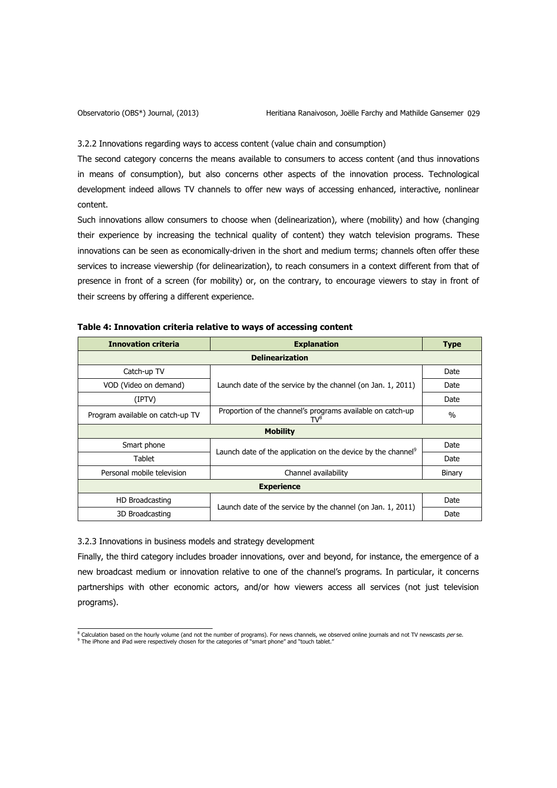3.2.2 Innovations regarding ways to access content (value chain and consumption)

The second category concerns the means available to consumers to access content (and thus innovations in means of consumption), but also concerns other aspects of the innovation process. Technological development indeed allows TV channels to offer new ways of accessing enhanced, interactive, nonlinear content.

Such innovations allow consumers to choose when (delinearization), where (mobility) and how (changing their experience by increasing the technical quality of content) they watch television programs. These innovations can be seen as economically-driven in the short and medium terms; channels often offer these services to increase viewership (for delinearization), to reach consumers in a context different from that of presence in front of a screen (for mobility) or, on the contrary, to encourage viewers to stay in front of their screens by offering a different experience.

| <b>Innovation criteria</b>       | <b>Explanation</b>                                                       | <b>Type</b> |  |  |  |  |  |  |  |  |
|----------------------------------|--------------------------------------------------------------------------|-------------|--|--|--|--|--|--|--|--|
|                                  | <b>Delinearization</b>                                                   |             |  |  |  |  |  |  |  |  |
| Catch-up TV                      |                                                                          | Date        |  |  |  |  |  |  |  |  |
| VOD (Video on demand)            | Launch date of the service by the channel (on Jan. 1, 2011)              | Date        |  |  |  |  |  |  |  |  |
| (IPTV)                           |                                                                          | Date        |  |  |  |  |  |  |  |  |
| Program available on catch-up TV | Proportion of the channel's programs available on catch-up<br>TV°        | $\%$        |  |  |  |  |  |  |  |  |
| <b>Mobility</b>                  |                                                                          |             |  |  |  |  |  |  |  |  |
| Smart phone                      | Launch date of the application on the device by the channel <sup>9</sup> | Date        |  |  |  |  |  |  |  |  |
| Tablet                           |                                                                          | Date        |  |  |  |  |  |  |  |  |
| Personal mobile television       | Channel availability                                                     | Binary      |  |  |  |  |  |  |  |  |
|                                  | <b>Experience</b>                                                        |             |  |  |  |  |  |  |  |  |
| HD Broadcasting                  | Launch date of the service by the channel (on Jan. 1, 2011)              | Date        |  |  |  |  |  |  |  |  |
| 3D Broadcasting                  |                                                                          | Date        |  |  |  |  |  |  |  |  |

| Table 4: Innovation criteria relative to ways of accessing content |  |
|--------------------------------------------------------------------|--|
|--------------------------------------------------------------------|--|

3.2.3 Innovations in business models and strategy development

Finally, the third category includes broader innovations, over and beyond, for instance, the emergence of a new broadcast medium or innovation relative to one of the channel's programs. In particular, it concerns partnerships with other economic actors, and/or how viewers access all services (not just television programs).

<sup>&</sup>lt;sup>8</sup> Calculation based on the hourly volume (and not the number of programs). For news channels, we observed online journals and not TV newscasts *per* se.<br><sup>9</sup> The iPhone and iPad were respectively chosen for the categories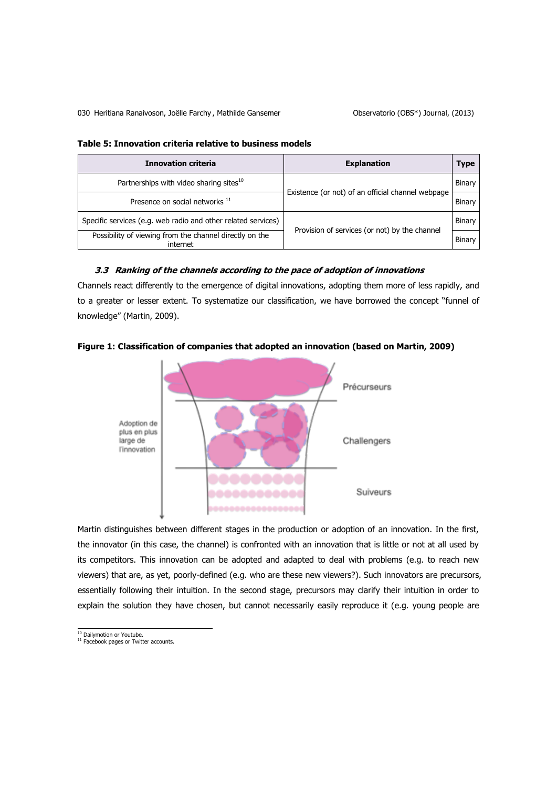| <b>Innovation criteria</b>                                          | <b>Explanation</b>                                |        |  |  |  |
|---------------------------------------------------------------------|---------------------------------------------------|--------|--|--|--|
| Partnerships with video sharing sites <sup>10</sup>                 | Existence (or not) of an official channel webpage | Binary |  |  |  |
| Presence on social networks 11                                      |                                                   | Binary |  |  |  |
| Specific services (e.g. web radio and other related services)       | Provision of services (or not) by the channel     | Binary |  |  |  |
| Possibility of viewing from the channel directly on the<br>internet |                                                   | Binary |  |  |  |

## **Table 5: Innovation criteria relative to business models**

## **3.3 Ranking of the channels according to the pace of adoption of innovations**

Channels react differently to the emergence of digital innovations, adopting them more of less rapidly, and to a greater or lesser extent. To systematize our classification, we have borrowed the concept "funnel of knowledge" [\(Martin, 2009\)](#page-17-1).





Martin distinguishes between different stages in the production or adoption of an innovation. In the first, the innovator (in this case, the channel) is confronted with an innovation that is little or not at all used by its competitors. This innovation can be adopted and adapted to deal with problems (e.g. to reach new viewers) that are, as yet, poorly-defined (e.g. who are these new viewers?). Such innovators are precursors, essentially following their intuition. In the second stage, precursors may clarify their intuition in order to explain the solution they have chosen, but cannot necessarily easily reproduce it (e.g. young people are

<sup>&</sup>lt;sup>10</sup> Dailymotion or Youtube.<br><sup>11</sup> Facebook pages or Twitter accounts.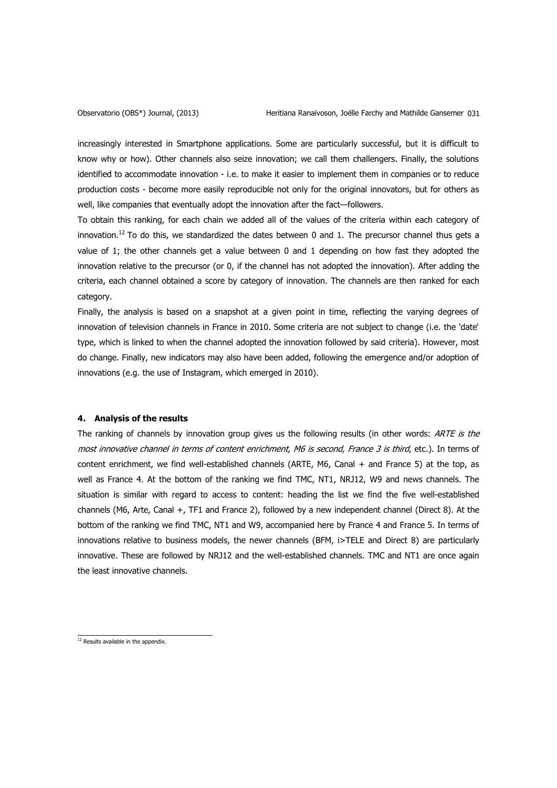increasingly interested in Smartphone applications. Some are particularly successful, but it is difficult to know why or how). Other channels also seize innovation; we call them challengers. Finally, the solutions identified to accommodate innovation - i.e. to make it easier to implement them in companies or to reduce production costs - become more easily reproducible not only for the original innovators, but for others as well, like companies that eventually adopt the innovation after the fact—followers.

To obtain this ranking, for each chain we added all of the values of the criteria within each category of innovation.<sup>12</sup> To do this, we standardized the dates between 0 and 1. The precursor channel thus gets a value of 1; the other channels get a value between 0 and 1 depending on how fast they adopted the innovation relative to the precursor (or 0, if the channel has not adopted the innovation). After adding the criteria, each channel obtained a score by category of innovation. The channels are then ranked for each category.

Finally, the analysis is based on a snapshot at a given point in time, reflecting the varying degrees of innovation of television channels in France in 2010. Some criteria are not subject to change (i.e. the 'date' type, which is linked to when the channel adopted the innovation followed by said criteria). However, most do change. Finally, new indicators may also have been added, following the emergence and/or adoption of innovations (e.g. the use of Instagram, which emerged in 2010).

## **4. Analysis of the results**

The ranking of channels by innovation group gives us the following results (in other words: ARTE is the most innovative channel in terms of content enrichment, M6 is second, France 3 is third, etc.). In terms of content enrichment, we find well-established channels (ARTE, M6, Canal + and France 5) at the top, as well as France 4. At the bottom of the ranking we find TMC, NT1, NRJ12, W9 and news channels. The situation is similar with regard to access to content: heading the list we find the five well-established channels (M6, Arte, Canal +, TF1 and France 2), followed by a new independent channel (Direct 8). At the bottom of the ranking we find TMC, NT1 and W9, accompanied here by France 4 and France 5. In terms of innovations relative to business models, the newer channels (BFM, i>TELE and Direct 8) are particularly innovative. These are followed by NRJ12 and the well-established channels. TMC and NT1 are once again the least innovative channels.

 $12$  Results available in the appendix.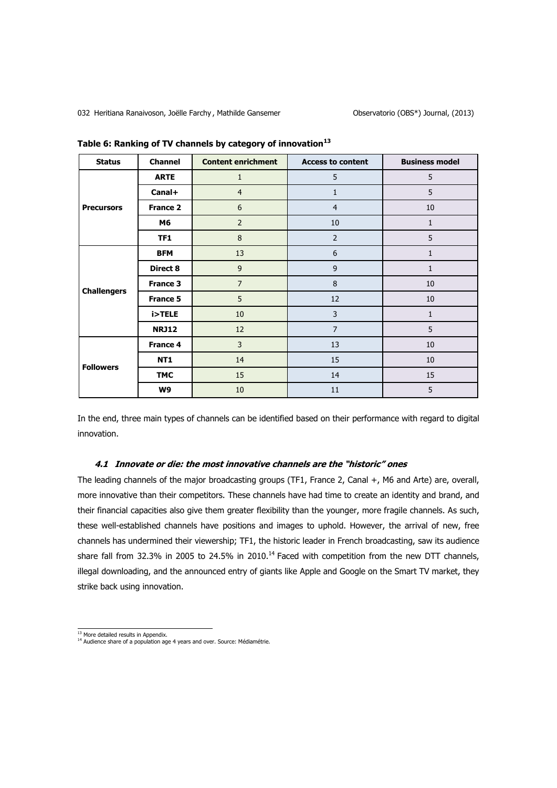032 Heritiana Ranaivoson, Joëlle Farchy, Mathilde Gansemer Changen and Observatorio (OBS\*) Journal, (2013)

| <b>Status</b>      | <b>Channel</b>  | <b>Content enrichment</b> | <b>Access to content</b> | <b>Business model</b> |
|--------------------|-----------------|---------------------------|--------------------------|-----------------------|
|                    | <b>ARTE</b>     | $\mathbf{1}$              | 5                        | 5                     |
|                    | Canal+          | $\overline{4}$            | 1                        | 5                     |
| <b>Precursors</b>  | <b>France 2</b> | 6                         | $\overline{4}$           | 10                    |
|                    | M6              | $\overline{2}$            | 10                       | $\mathbf{1}$          |
|                    | TF1             | $\bf 8$                   | $\overline{2}$           | 5                     |
|                    | <b>BFM</b>      | 13                        | 6                        | $\mathbf{1}$          |
|                    | Direct 8        | $\mathsf 9$               | $\mathsf 9$              | $\mathbf{1}$          |
| <b>Challengers</b> | <b>France 3</b> | $\overline{7}$            | 8                        | 10                    |
|                    | <b>France 5</b> | 5                         | 12                       | 10                    |
|                    | i>TELE          | 10                        | 3                        | $\mathbf{1}$          |
|                    | <b>NRJ12</b>    | 12                        | $\overline{7}$           | 5                     |
|                    | France 4        | $\mathsf{3}$              | 13                       | 10                    |
| <b>Followers</b>   | NT1             | 14                        | 15                       | 10                    |
|                    | <b>TMC</b>      | 15                        | 14                       | 15                    |
|                    | W9              | 10                        | 11                       | 5                     |

**Table 6: Ranking of TV channels by category of innovation<sup>13</sup>**

In the end, three main types of channels can be identified based on their performance with regard to digital innovation.

#### **4.1 Innovate or die: the most innovative channels are the "historic" ones**

The leading channels of the major broadcasting groups (TF1, France 2, Canal +, M6 and Arte) are, overall, more innovative than their competitors. These channels have had time to create an identity and brand, and their financial capacities also give them greater flexibility than the younger, more fragile channels. As such, these well-established channels have positions and images to uphold. However, the arrival of new, free channels has undermined their viewership; TF1, the historic leader in French broadcasting, saw its audience share fall from 32.3% in 2005 to 24.5% in 2010.<sup>14</sup> Faced with competition from the new DTT channels, illegal downloading, and the announced entry of giants like Apple and Google on the Smart TV market, they strike back using innovation.

<sup>&</sup>lt;u>.<br>13 More detailed results in Appendix.</u><br><sup>14</sup> Audience share of a population age 4 years and over. Source: Médiamétrie.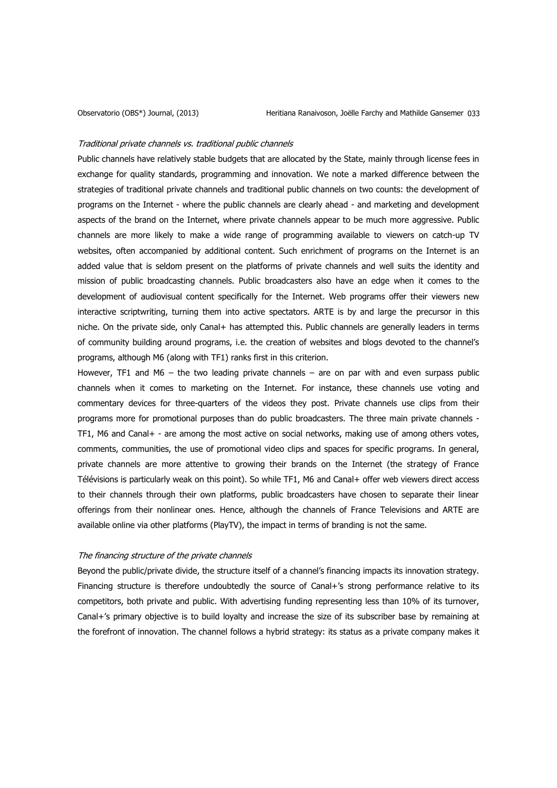#### Traditional private channels vs. traditional public channels

Public channels have relatively stable budgets that are allocated by the State, mainly through license fees in exchange for quality standards, programming and innovation. We note a marked difference between the strategies of traditional private channels and traditional public channels on two counts: the development of programs on the Internet - where the public channels are clearly ahead - and marketing and development aspects of the brand on the Internet, where private channels appear to be much more aggressive. Public channels are more likely to make a wide range of programming available to viewers on catch-up TV websites, often accompanied by additional content. Such enrichment of programs on the Internet is an added value that is seldom present on the platforms of private channels and well suits the identity and mission of public broadcasting channels. Public broadcasters also have an edge when it comes to the development of audiovisual content specifically for the Internet. Web programs offer their viewers new interactive scriptwriting, turning them into active spectators. ARTE is by and large the precursor in this niche. On the private side, only Canal+ has attempted this. Public channels are generally leaders in terms of community building around programs, i.e. the creation of websites and blogs devoted to the channel's programs, although M6 (along with TF1) ranks first in this criterion.

However, TF1 and  $M6$  – the two leading private channels – are on par with and even surpass public channels when it comes to marketing on the Internet. For instance, these channels use voting and commentary devices for three-quarters of the videos they post. Private channels use clips from their programs more for promotional purposes than do public broadcasters. The three main private channels - TF1, M6 and Canal+ - are among the most active on social networks, making use of among others votes, comments, communities, the use of promotional video clips and spaces for specific programs. In general, private channels are more attentive to growing their brands on the Internet (the strategy of France Télévisions is particularly weak on this point). So while TF1, M6 and Canal+ offer web viewers direct access to their channels through their own platforms, public broadcasters have chosen to separate their linear offerings from their nonlinear ones. Hence, although the channels of France Televisions and ARTE are available online via other platforms (PlayTV), the impact in terms of branding is not the same.

### The financing structure of the private channels

Beyond the public/private divide, the structure itself of a channel's financing impacts its innovation strategy. Financing structure is therefore undoubtedly the source of Canal+'s strong performance relative to its competitors, both private and public. With advertising funding representing less than 10% of its turnover, Canal+'s primary objective is to build loyalty and increase the size of its subscriber base by remaining at the forefront of innovation. The channel follows a hybrid strategy: its status as a private company makes it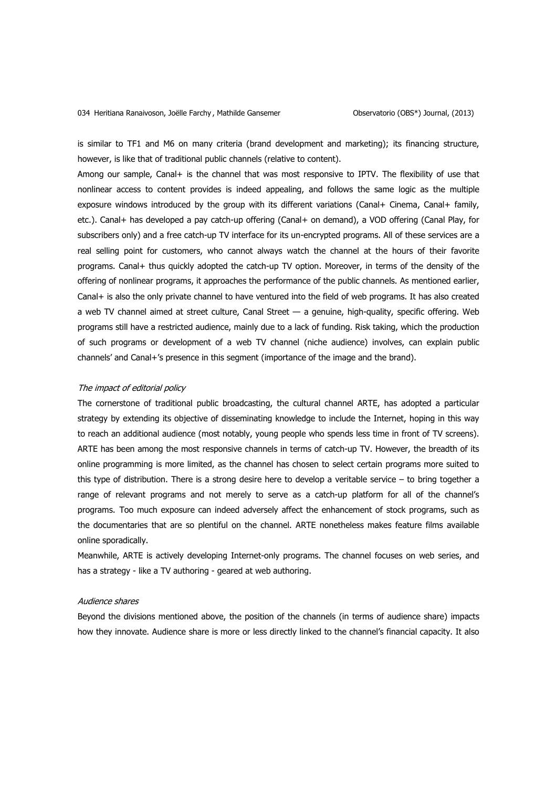is similar to TF1 and M6 on many criteria (brand development and marketing); its financing structure, however, is like that of traditional public channels (relative to content).

Among our sample, Canal+ is the channel that was most responsive to IPTV. The flexibility of use that nonlinear access to content provides is indeed appealing, and follows the same logic as the multiple exposure windows introduced by the group with its different variations (Canal+ Cinema, Canal+ family, etc.). Canal+ has developed a pay catch-up offering (Canal+ on demand), a VOD offering (Canal Play, for subscribers only) and a free catch-up TV interface for its un-encrypted programs. All of these services are a real selling point for customers, who cannot always watch the channel at the hours of their favorite programs. Canal+ thus quickly adopted the catch-up TV option. Moreover, in terms of the density of the offering of nonlinear programs, it approaches the performance of the public channels. As mentioned earlier, Canal+ is also the only private channel to have ventured into the field of web programs. It has also created a web TV channel aimed at street culture, Canal Street — a genuine, high-quality, specific offering. Web programs still have a restricted audience, mainly due to a lack of funding. Risk taking, which the production of such programs or development of a web TV channel (niche audience) involves, can explain public channels' and Canal+'s presence in this segment (importance of the image and the brand).

#### The impact of editorial policy

The cornerstone of traditional public broadcasting, the cultural channel ARTE, has adopted a particular strategy by extending its objective of disseminating knowledge to include the Internet, hoping in this way to reach an additional audience (most notably, young people who spends less time in front of TV screens). ARTE has been among the most responsive channels in terms of catch-up TV. However, the breadth of its online programming is more limited, as the channel has chosen to select certain programs more suited to this type of distribution. There is a strong desire here to develop a veritable service – to bring together a range of relevant programs and not merely to serve as a catch-up platform for all of the channel's programs. Too much exposure can indeed adversely affect the enhancement of stock programs, such as the documentaries that are so plentiful on the channel. ARTE nonetheless makes feature films available online sporadically.

Meanwhile, ARTE is actively developing Internet-only programs. The channel focuses on web series, and has a strategy - like a TV authoring - geared at web authoring.

#### Audience shares

Beyond the divisions mentioned above, the position of the channels (in terms of audience share) impacts how they innovate. Audience share is more or less directly linked to the channel's financial capacity. It also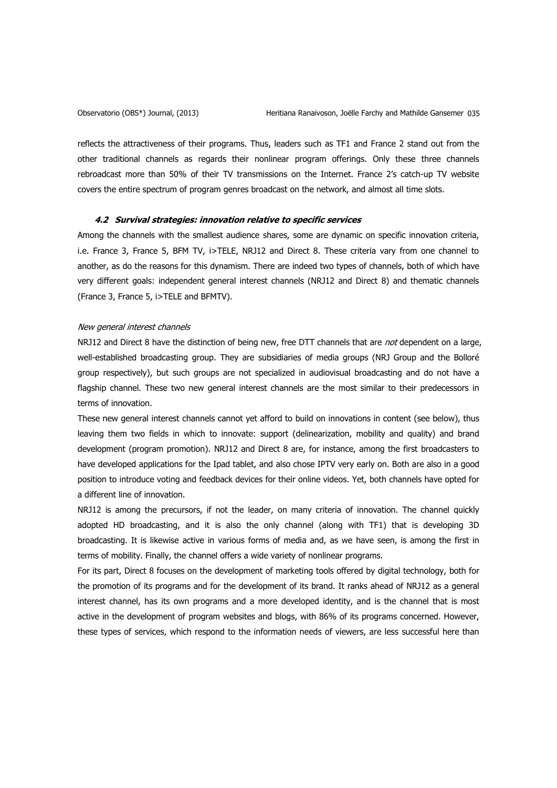reflects the attractiveness of their programs. Thus, leaders such as TF1 and France 2 stand out from the other traditional channels as regards their nonlinear program offerings. Only these three channels rebroadcast more than 50% of their TV transmissions on the Internet. France 2's catch-up TV website covers the entire spectrum of program genres broadcast on the network, and almost all time slots.

#### **4.2 Survival strategies: innovation relative to specific services**

Among the channels with the smallest audience shares, some are dynamic on specific innovation criteria, i.e. France 3, France 5, BFM TV, i>TELE, NRJ12 and Direct 8. These criteria vary from one channel to another, as do the reasons for this dynamism. There are indeed two types of channels, both of which have very different goals: independent general interest channels (NRJ12 and Direct 8) and thematic channels (France 3, France 5, i>TELE and BFMTV).

#### New general interest channels

NRJ12 and Direct 8 have the distinction of being new, free DTT channels that are not dependent on a large, well-established broadcasting group. They are subsidiaries of media groups (NRJ Group and the Bolloré group respectively), but such groups are not specialized in audiovisual broadcasting and do not have a flagship channel. These two new general interest channels are the most similar to their predecessors in terms of innovation.

These new general interest channels cannot yet afford to build on innovations in content (see below), thus leaving them two fields in which to innovate: support (delinearization, mobility and quality) and brand development (program promotion). NRJ12 and Direct 8 are, for instance, among the first broadcasters to have developed applications for the Ipad tablet, and also chose IPTV very early on. Both are also in a good position to introduce voting and feedback devices for their online videos. Yet, both channels have opted for a different line of innovation.

NRJ12 is among the precursors, if not the leader, on many criteria of innovation. The channel quickly adopted HD broadcasting, and it is also the only channel (along with TF1) that is developing 3D broadcasting. It is likewise active in various forms of media and, as we have seen, is among the first in terms of mobility. Finally, the channel offers a wide variety of nonlinear programs.

For its part, Direct 8 focuses on the development of marketing tools offered by digital technology, both for the promotion of its programs and for the development of its brand. It ranks ahead of NRJ12 as a general interest channel, has its own programs and a more developed identity, and is the channel that is most active in the development of program websites and blogs, with 86% of its programs concerned. However, these types of services, which respond to the information needs of viewers, are less successful here than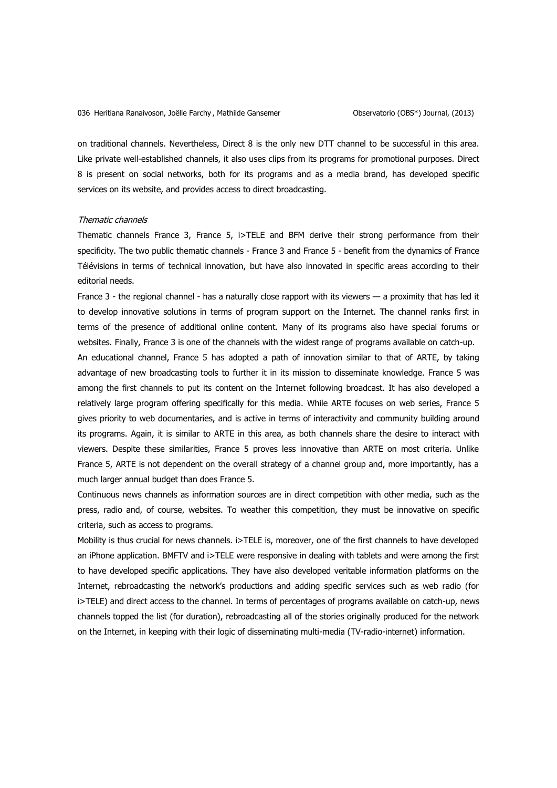on traditional channels. Nevertheless, Direct 8 is the only new DTT channel to be successful in this area. Like private well-established channels, it also uses clips from its programs for promotional purposes. Direct 8 is present on social networks, both for its programs and as a media brand, has developed specific services on its website, and provides access to direct broadcasting.

## Thematic channels

Thematic channels France 3, France 5, i>TELE and BFM derive their strong performance from their specificity. The two public thematic channels - France 3 and France 5 - benefit from the dynamics of France Télévisions in terms of technical innovation, but have also innovated in specific areas according to their editorial needs.

France 3 - the regional channel - has a naturally close rapport with its viewers — a proximity that has led it to develop innovative solutions in terms of program support on the Internet. The channel ranks first in terms of the presence of additional online content. Many of its programs also have special forums or websites. Finally, France 3 is one of the channels with the widest range of programs available on catch-up.

An educational channel, France 5 has adopted a path of innovation similar to that of ARTE, by taking advantage of new broadcasting tools to further it in its mission to disseminate knowledge. France 5 was among the first channels to put its content on the Internet following broadcast. It has also developed a relatively large program offering specifically for this media. While ARTE focuses on web series, France 5 gives priority to web documentaries, and is active in terms of interactivity and community building around its programs. Again, it is similar to ARTE in this area, as both channels share the desire to interact with viewers. Despite these similarities, France 5 proves less innovative than ARTE on most criteria. Unlike France 5, ARTE is not dependent on the overall strategy of a channel group and, more importantly, has a much larger annual budget than does France 5.

Continuous news channels as information sources are in direct competition with other media, such as the press, radio and, of course, websites. To weather this competition, they must be innovative on specific criteria, such as access to programs.

Mobility is thus crucial for news channels. i>TELE is, moreover, one of the first channels to have developed an iPhone application. BMFTV and i>TELE were responsive in dealing with tablets and were among the first to have developed specific applications. They have also developed veritable information platforms on the Internet, rebroadcasting the network's productions and adding specific services such as web radio (for i>TELE) and direct access to the channel. In terms of percentages of programs available on catch-up, news channels topped the list (for duration), rebroadcasting all of the stories originally produced for the network on the Internet, in keeping with their logic of disseminating multi-media (TV-radio-internet) information.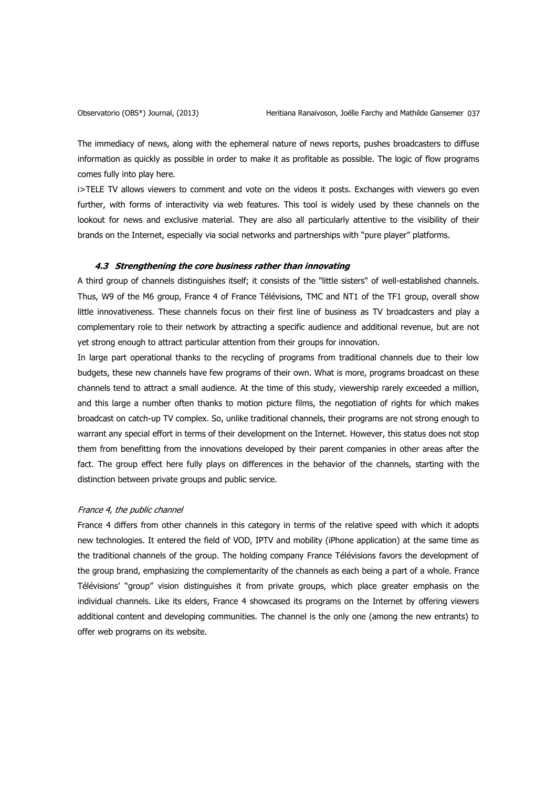The immediacy of news, along with the ephemeral nature of news reports, pushes broadcasters to diffuse information as quickly as possible in order to make it as profitable as possible. The logic of flow programs comes fully into play here.

i>TELE TV allows viewers to comment and vote on the videos it posts. Exchanges with viewers go even further, with forms of interactivity via web features. This tool is widely used by these channels on the lookout for news and exclusive material. They are also all particularly attentive to the visibility of their brands on the Internet, especially via social networks and partnerships with "pure player" platforms.

#### **4.3 Strengthening the core business rather than innovating**

A third group of channels distinguishes itself; it consists of the "little sisters" of well-established channels. Thus, W9 of the M6 group, France 4 of France Télévisions, TMC and NT1 of the TF1 group, overall show little innovativeness. These channels focus on their first line of business as TV broadcasters and play a complementary role to their network by attracting a specific audience and additional revenue, but are not yet strong enough to attract particular attention from their groups for innovation.

In large part operational thanks to the recycling of programs from traditional channels due to their low budgets, these new channels have few programs of their own. What is more, programs broadcast on these channels tend to attract a small audience. At the time of this study, viewership rarely exceeded a million, and this large a number often thanks to motion picture films, the negotiation of rights for which makes broadcast on catch-up TV complex. So, unlike traditional channels, their programs are not strong enough to warrant any special effort in terms of their development on the Internet. However, this status does not stop them from benefitting from the innovations developed by their parent companies in other areas after the fact. The group effect here fully plays on differences in the behavior of the channels, starting with the distinction between private groups and public service.

## France 4, the public channel

France 4 differs from other channels in this category in terms of the relative speed with which it adopts new technologies. It entered the field of VOD, IPTV and mobility (iPhone application) at the same time as the traditional channels of the group. The holding company France Télévisions favors the development of the group brand, emphasizing the complementarity of the channels as each being a part of a whole. France Télévisions' "group" vision distinguishes it from private groups, which place greater emphasis on the individual channels. Like its elders, France 4 showcased its programs on the Internet by offering viewers additional content and developing communities. The channel is the only one (among the new entrants) to offer web programs on its website.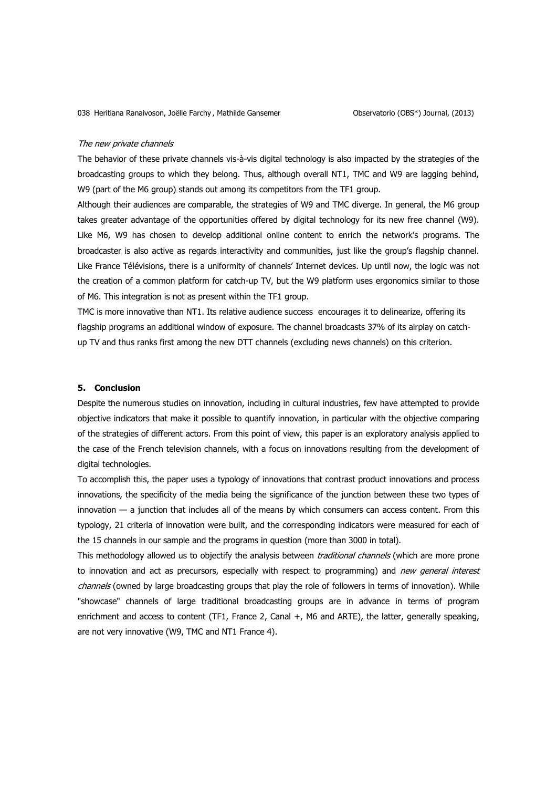#### The new private channels

The behavior of these private channels vis-à-vis digital technology is also impacted by the strategies of the broadcasting groups to which they belong. Thus, although overall NT1, TMC and W9 are lagging behind, W9 (part of the M6 group) stands out among its competitors from the TF1 group.

Although their audiences are comparable, the strategies of W9 and TMC diverge. In general, the M6 group takes greater advantage of the opportunities offered by digital technology for its new free channel (W9). Like M6, W9 has chosen to develop additional online content to enrich the network's programs. The broadcaster is also active as regards interactivity and communities, just like the group's flagship channel. Like France Télévisions, there is a uniformity of channels' Internet devices. Up until now, the logic was not the creation of a common platform for catch-up TV, but the W9 platform uses ergonomics similar to those of M6. This integration is not as present within the TF1 group.

TMC is more innovative than NT1. Its relative audience success encourages it to delinearize, offering its flagship programs an additional window of exposure. The channel broadcasts 37% of its airplay on catchup TV and thus ranks first among the new DTT channels (excluding news channels) on this criterion.

## **5. Conclusion**

Despite the numerous studies on innovation, including in cultural industries, few have attempted to provide objective indicators that make it possible to quantify innovation, in particular with the objective comparing of the strategies of different actors. From this point of view, this paper is an exploratory analysis applied to the case of the French television channels, with a focus on innovations resulting from the development of digital technologies.

To accomplish this, the paper uses a typology of innovations that contrast product innovations and process innovations, the specificity of the media being the significance of the junction between these two types of innovation  $-$  a junction that includes all of the means by which consumers can access content. From this typology, 21 criteria of innovation were built, and the corresponding indicators were measured for each of the 15 channels in our sample and the programs in question (more than 3000 in total).

This methodology allowed us to objectify the analysis between *traditional channels* (which are more prone to innovation and act as precursors, especially with respect to programming) and new general interest channels (owned by large broadcasting groups that play the role of followers in terms of innovation). While "showcase" channels of large traditional broadcasting groups are in advance in terms of program enrichment and access to content (TF1, France 2, Canal +, M6 and ARTE), the latter, generally speaking, are not very innovative (W9, TMC and NT1 France 4).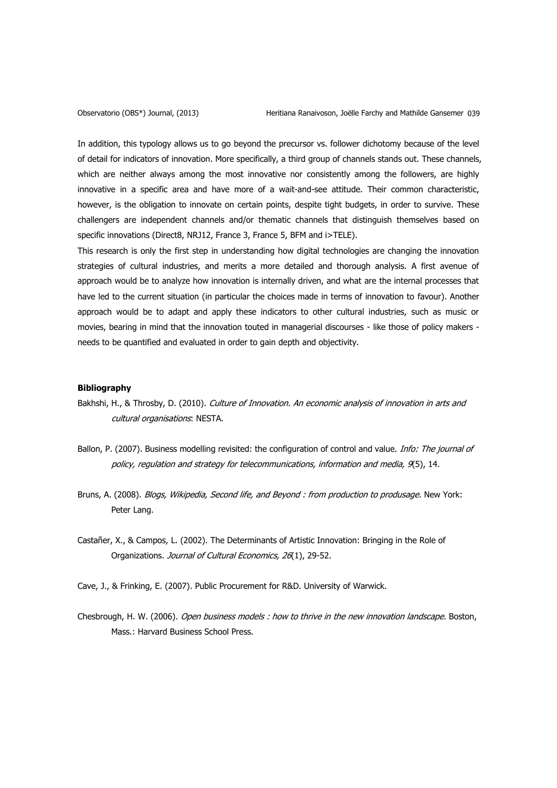In addition, this typology allows us to go beyond the precursor vs. follower dichotomy because of the level of detail for indicators of innovation. More specifically, a third group of channels stands out. These channels, which are neither always among the most innovative nor consistently among the followers, are highly innovative in a specific area and have more of a wait-and-see attitude. Their common characteristic, however, is the obligation to innovate on certain points, despite tight budgets, in order to survive. These challengers are independent channels and/or thematic channels that distinguish themselves based on specific innovations (Direct8, NRJ12, France 3, France 5, BFM and i>TELE).

This research is only the first step in understanding how digital technologies are changing the innovation strategies of cultural industries, and merits a more detailed and thorough analysis. A first avenue of approach would be to analyze how innovation is internally driven, and what are the internal processes that have led to the current situation (in particular the choices made in terms of innovation to favour). Another approach would be to adapt and apply these indicators to other cultural industries, such as music or movies, bearing in mind that the innovation touted in managerial discourses - like those of policy makers needs to be quantified and evaluated in order to gain depth and objectivity.

#### **Bibliography**

- <span id="page-16-2"></span>Bakhshi, H., & Throsby, D. (2010). Culture of Innovation. An economic analysis of innovation in arts and cultural organisations: NESTA.
- <span id="page-16-5"></span>Ballon, P. (2007). Business modelling revisited: the configuration of control and value. *Info: The journal of* policy, regulation and strategy for telecommunications, information and media, 9(5), 14.
- <span id="page-16-4"></span>Bruns, A. (2008). Blogs, Wikipedia, Second life, and Beyond : from production to produsage. New York: Peter Lang.
- <span id="page-16-0"></span>Castañer, X., & Campos, L. (2002). The Determinants of Artistic Innovation: Bringing in the Role of Organizations. Journal of Cultural Economics, 26(1), 29-52.
- <span id="page-16-1"></span>Cave, J., & Frinking, E. (2007). Public Procurement for R&D. University of Warwick.
- <span id="page-16-3"></span>Chesbrough, H. W. (2006). Open business models : how to thrive in the new innovation landscape. Boston, Mass.: Harvard Business School Press.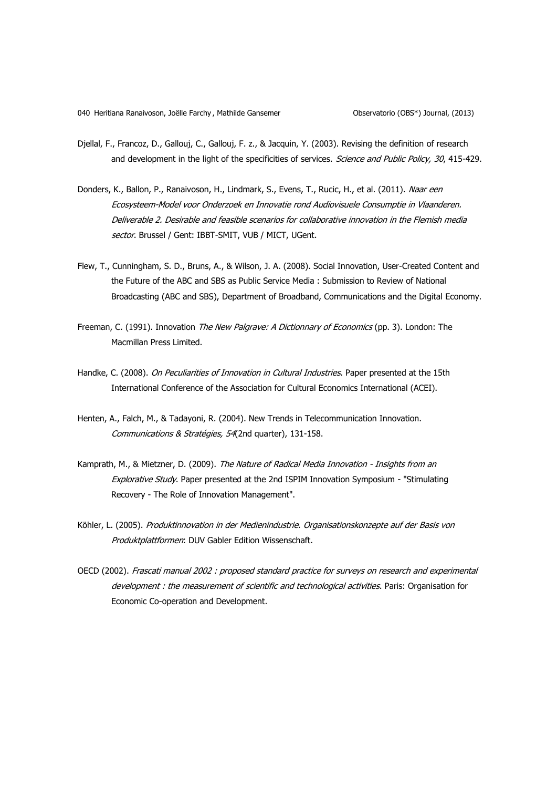- <span id="page-17-6"></span>Djellal, F., Francoz, D., Gallouj, C., Gallouj, F. z., & Jacquin, Y. (2003). Revising the definition of research and development in the light of the specificities of services. Science and Public Policy, 30, 415-429.
- <span id="page-17-0"></span>Donders, K., Ballon, P., Ranaivoson, H., Lindmark, S., Evens, T., Rucic, H., et al. (2011). Naar een Ecosysteem-Model voor Onderzoek en Innovatie rond Audiovisuele Consumptie in Vlaanderen. Deliverable 2. Desirable and feasible scenarios for collaborative innovation in the Flemish media sector. Brussel / Gent: IBBT-SMIT, VUB / MICT, UGent.
- <span id="page-17-7"></span>Flew, T., Cunningham, S. D., Bruns, A., & Wilson, J. A. (2008). Social Innovation, User-Created Content and the Future of the ABC and SBS as Public Service Media : Submission to Review of National Broadcasting (ABC and SBS), Department of Broadband, Communications and the Digital Economy.
- <span id="page-17-2"></span>Freeman, C. (1991). Innovation The New Palgrave: A Dictionnary of Economics (pp. 3). London: The Macmillan Press Limited.
- <span id="page-17-4"></span>Handke, C. (2008). On Peculiarities of Innovation in Cultural Industries. Paper presented at the 15th International Conference of the Association for Cultural Economics International (ACEI).
- <span id="page-17-3"></span>Henten, A., Falch, M., & Tadayoni, R. (2004). New Trends in Telecommunication Innovation. Communications & Stratégies, 54(2nd quarter), 131-158.
- <span id="page-17-5"></span>Kamprath, M., & Mietzner, D. (2009). The Nature of Radical Media Innovation - Insights from an Explorative Study. Paper presented at the 2nd ISPIM Innovation Symposium - "Stimulating Recovery - The Role of Innovation Management".
- <span id="page-17-8"></span>Köhler, L. (2005). Produktinnovation in der Medienindustrie. Organisationskonzepte auf der Basis von Produktplattformen: DUV Gabler Edition Wissenschaft.
- <span id="page-17-1"></span>OECD (2002). Frascati manual 2002 : proposed standard practice for surveys on research and experimental development : the measurement of scientific and technological activities. Paris: Organisation for Economic Co-operation and Development.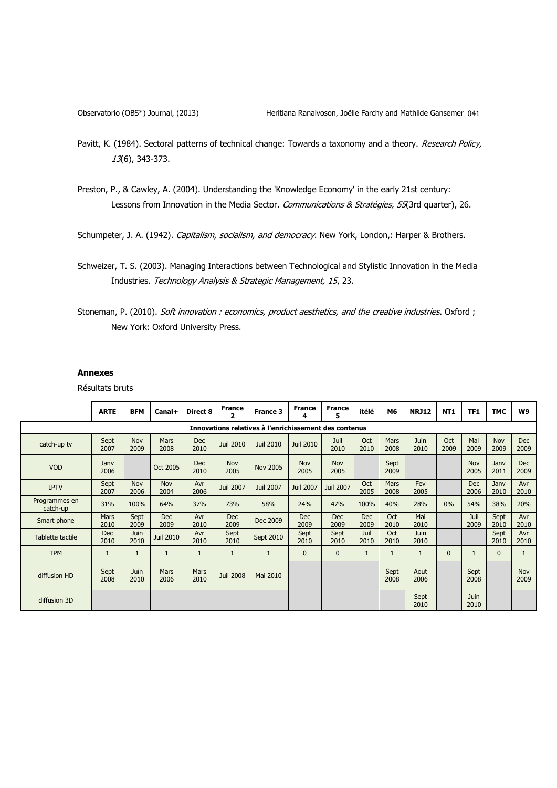- <span id="page-18-0"></span>Pavitt, K. (1984). Sectoral patterns of technical change: Towards a taxonomy and a theory. Research Policy, 13(6), 343-373.
- <span id="page-18-2"></span>Preston, P., & Cawley, A. (2004). Understanding the 'Knowledge Economy' in the early 21st century: Lessons from Innovation in the Media Sector. Communications & Stratégies, 55(3rd quarter), 26.

<span id="page-18-1"></span>Schumpeter, J. A. (1942). Capitalism, socialism, and democracy. New York, London,: Harper & Brothers.

#### **Annexes**

Résultats bruts

|                                                       | <b>ARTE</b>        | <b>BFM</b>          | Canal+              | Direct 8           | <b>France</b><br>2 | France 3         | <b>France</b><br>4 | <b>France</b><br>5 | itélé              | M6                  | <b>NRJ12</b>        | <b>NT1</b>   | TF1                 | <b>TMC</b>         | W9                 |
|-------------------------------------------------------|--------------------|---------------------|---------------------|--------------------|--------------------|------------------|--------------------|--------------------|--------------------|---------------------|---------------------|--------------|---------------------|--------------------|--------------------|
| Innovations relatives à l'enrichissement des contenus |                    |                     |                     |                    |                    |                  |                    |                    |                    |                     |                     |              |                     |                    |                    |
| catch-up tv                                           | Sept<br>2007       | <b>Nov</b><br>2009  | <b>Mars</b><br>2008 | <b>Dec</b><br>2010 | <b>Juil 2010</b>   | <b>Juil 2010</b> | Juil 2010          | Juil<br>2010       | Oct<br>2010        | <b>Mars</b><br>2008 | <b>Juin</b><br>2010 | Oct<br>2009  | Mai<br>2009         | <b>Nov</b><br>2009 | <b>Dec</b><br>2009 |
| <b>VOD</b>                                            | Jany<br>2006       |                     | Oct 2005            | <b>Dec</b><br>2010 | <b>Nov</b><br>2005 | <b>Nov 2005</b>  | <b>Nov</b><br>2005 | Nov<br>2005        |                    | Sept<br>2009        |                     |              | <b>Nov</b><br>2005  | Janv<br>2011       | <b>Dec</b><br>2009 |
| <b>IPTV</b>                                           | Sept<br>2007       | <b>Nov</b><br>2006  | <b>Nov</b><br>2004  | Avr<br>2006        | <b>Juil 2007</b>   | <b>Juil 2007</b> | <b>Juil 2007</b>   | <b>Juil 2007</b>   | Oct<br>2005        | <b>Mars</b><br>2008 | Fev<br>2005         |              | <b>Dec</b><br>2006  | Janv<br>2010       | Avr<br>2010        |
| Programmes en<br>catch-up                             | 31%                | 100%                | 64%                 | 37%                | 73%                | 58%              | 24%                | 47%                | 100%               | 40%                 | 28%                 | $0\%$        | 54%                 | 38%                | 20%                |
| Smart phone                                           | Mars<br>2010       | Sept<br>2009        | <b>Dec</b><br>2009  | Avr<br>2010        | <b>Dec</b><br>2009 | Dec 2009         | <b>Dec</b><br>2009 | <b>Dec</b><br>2009 | <b>Dec</b><br>2009 | Oct<br>2010         | Mai<br>2010         |              | Juil<br>2009        | Sept<br>2010       | Avr<br>2010        |
| Tablette tactile                                      | <b>Dec</b><br>2010 | Juin<br>2010        | <b>Juil 2010</b>    | Avr<br>2010        | Sept<br>2010       | Sept 2010        | Sept<br>2010       | Sept<br>2010       | Juil<br>2010       | Oct<br>2010         | <b>Juin</b><br>2010 |              |                     | Sept<br>2010       | Avr<br>2010        |
| <b>TPM</b>                                            | $\mathbf{1}$       | $\mathbf{1}$        | $\mathbf{1}$        | $\mathbf{1}$       | $\mathbf{1}$       | $\mathbf{1}$     | 0                  | 0                  | $\mathbf{1}$       | 1                   | 1                   | $\mathbf{0}$ | $\mathbf{1}$        | $\mathbf{0}$       | 1                  |
| diffusion HD                                          | Sept<br>2008       | <b>Juin</b><br>2010 | Mars<br>2006        | Mars<br>2010       | <b>Juil 2008</b>   | Mai 2010         |                    |                    |                    | Sept<br>2008        | Aout<br>2006        |              | Sept<br>2008        |                    | <b>Nov</b><br>2009 |
| diffusion 3D                                          |                    |                     |                     |                    |                    |                  |                    |                    |                    |                     | Sept<br>2010        |              | <b>Juin</b><br>2010 |                    |                    |

<span id="page-18-4"></span>Schweizer, T. S. (2003). Managing Interactions between Technological and Stylistic Innovation in the Media Industries. Technology Analysis & Strategic Management, 15, 23.

<span id="page-18-3"></span>Stoneman, P. (2010). Soft innovation : economics, product aesthetics, and the creative industries. Oxford ; New York: Oxford University Press.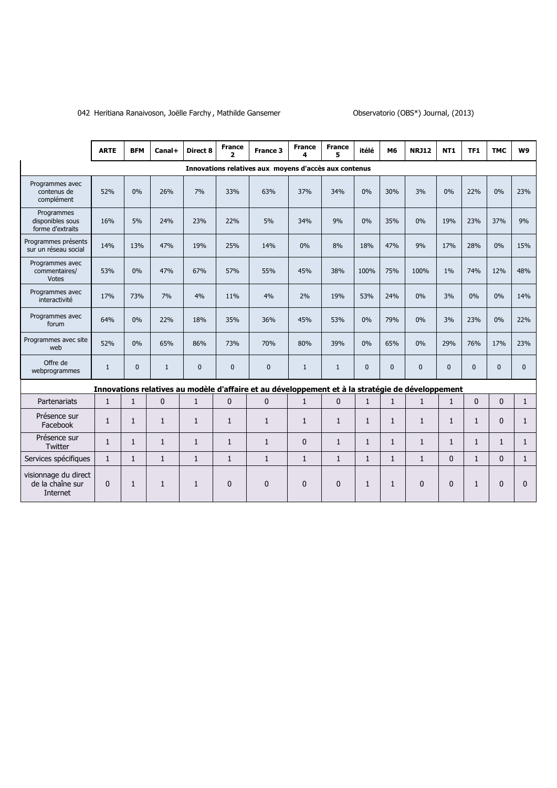# 042 Heritiana Ranaivoson, Joëlle Farchy, Mathilde Gansemer **Canada en Consecutorio (OBS\*)** Journal, (2013)

|                                                      | <b>ARTE</b>  | <b>BFM</b>   | Canal+       | Direct 8     | <b>France</b><br>2 | France 3                                                                                         | <b>France</b><br>4 | <b>France</b><br>5. | itélé        | M6           | <b>NRJ12</b>   | <b>NT1</b>   | TF1            | <b>TMC</b>   | W9           |
|------------------------------------------------------|--------------|--------------|--------------|--------------|--------------------|--------------------------------------------------------------------------------------------------|--------------------|---------------------|--------------|--------------|----------------|--------------|----------------|--------------|--------------|
|                                                      |              |              |              |              |                    | Innovations relatives aux moyens d'accès aux contenus                                            |                    |                     |              |              |                |              |                |              |              |
| Programmes avec<br>contenus de<br>complément         | 52%          | $0\%$        | 26%          | 7%           | 33%                | 63%                                                                                              | 37%                | 34%                 | 0%           | 30%          | 3%             | 0%           | 22%            | 0%           | 23%          |
| Programmes<br>disponibles sous<br>forme d'extraits   | 16%          | 5%           | 24%          | 23%          | 22%                | 5%                                                                                               | 34%                | 9%                  | 0%           | 35%          | 0%             | 19%          | 23%            | 37%          | 9%           |
| Programmes présents<br>sur un réseau social          | 14%          | 13%          | 47%          | 19%          | 25%                | 14%                                                                                              | 0%                 | 8%                  | 18%          | 47%          | 9%             | 17%          | 28%            | 0%           | 15%          |
| Programmes avec<br>commentaires/<br><b>Votes</b>     | 53%          | 0%           | 47%          | 67%          | 57%                | 55%                                                                                              | 45%                | 38%                 | 100%         | 75%          | 100%           | 1%           | 74%            | 12%          | 48%          |
| Programmes avec<br>interactivité                     | 17%          | 73%          | 7%           | 4%           | 11%                | 4%                                                                                               | 2%                 | 19%                 | 53%          | 24%          | 0%             | 3%           | 0%             | 0%           | 14%          |
| Programmes avec<br>forum                             | 64%          | 0%           | 22%          | 18%          | 35%                | 36%                                                                                              | 45%                | 53%                 | 0%           | 79%          | 0%             | 3%           | 23%            | 0%           | 22%          |
| Programmes avec site<br>web                          | 52%          | $0\%$        | 65%          | 86%          | 73%                | 70%                                                                                              | 80%                | 39%                 | 0%           | 65%          | 0%             | 29%          | 76%            | 17%          | 23%          |
| Offre de<br>webprogrammes                            | $\mathbf{1}$ | $\mathbf{0}$ | $\mathbf{1}$ | $\mathbf{0}$ | $\Omega$           | $\overline{0}$                                                                                   | $\mathbf{1}$       | $\mathbf{1}$        | $\mathbf{0}$ | $\Omega$     | $\overline{0}$ | $\Omega$     | $\Omega$       | $\mathbf{0}$ | $\mathbf{0}$ |
|                                                      |              |              |              |              |                    | Innovations relatives au modèle d'affaire et au développement et à la stratégie de développement |                    |                     |              |              |                |              |                |              |              |
| Partenariats                                         | $\mathbf{1}$ | $\mathbf{1}$ | $\mathbf{0}$ | $\mathbf{1}$ | $\mathbf{0}$       | $\mathbf{0}$                                                                                     | $\mathbf{1}$       | $\Omega$            | $\mathbf{1}$ | $\mathbf{1}$ | $\mathbf{1}$   | $\mathbf{1}$ | $\overline{0}$ | $\Omega$     | $\mathbf{1}$ |
| Présence sur<br>Facebook                             | $\mathbf{1}$ | $\mathbf{1}$ | $\mathbf{1}$ | $\mathbf{1}$ | $\mathbf{1}$       | $\mathbf{1}$                                                                                     | $\mathbf{1}$       | $\mathbf{1}$        | $\mathbf{1}$ | $\mathbf{1}$ | $\mathbf{1}$   | $\mathbf{1}$ | $\mathbf{1}$   | $\mathbf{0}$ | $\mathbf{1}$ |
| Présence sur<br>Twitter                              | $\mathbf{1}$ | $\mathbf{1}$ | $\mathbf{1}$ | $\mathbf{1}$ | $\mathbf{1}$       | $\mathbf{1}$                                                                                     | $\mathbf{0}$       | $\mathbf{1}$        | $\mathbf{1}$ | $\mathbf{1}$ | $\mathbf{1}$   | $\mathbf{1}$ | $\mathbf{1}$   | $\mathbf{1}$ | $\mathbf{1}$ |
| Services spécifiques                                 | $\mathbf{1}$ | $\mathbf{1}$ | $\mathbf{1}$ | $\mathbf{1}$ | $\mathbf{1}$       | $\mathbf{1}$                                                                                     | $\mathbf{1}$       | $\mathbf{1}$        | $\mathbf{1}$ | $\mathbf{1}$ | $\mathbf{1}$   | $\mathbf{0}$ | $\mathbf{1}$   | $\mathbf{0}$ | $\mathbf{1}$ |
| visionnage du direct<br>de la chaîne sur<br>Internet | $\Omega$     | $\mathbf{1}$ | $\mathbf{1}$ | $\mathbf{1}$ | $\Omega$           | $\Omega$                                                                                         | $\mathbf{0}$       | $\Omega$            | $\mathbf{1}$ | 1            | $\Omega$       | $\mathbf{0}$ | $\mathbf{1}$   | $\mathbf{0}$ | $\Omega$     |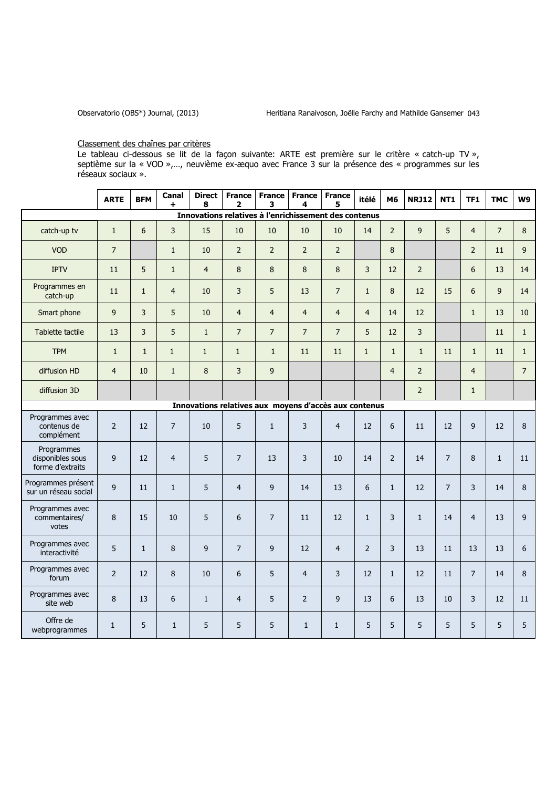# Classement des chaînes par critères

Le tableau ci-dessous se lit de la façon suivante: ARTE est première sur le critère « catch-up TV », septième sur la « VOD »,…, neuvième ex-æquo avec France 3 sur la présence des « programmes sur les réseaux sociaux ».

|                                                    | <b>ARTE</b>    | <b>BFM</b>     | Canal<br>$\ddot{}$ | <b>Direct</b><br>8 | <b>France</b><br>2 | France<br>3    | <b>France</b><br>4                                    | <b>France</b><br>5 | itélé          | M6             | <b>NRJ12</b>   | <b>NT1</b>     | TF1            | <b>TMC</b>     | W9             |
|----------------------------------------------------|----------------|----------------|--------------------|--------------------|--------------------|----------------|-------------------------------------------------------|--------------------|----------------|----------------|----------------|----------------|----------------|----------------|----------------|
|                                                    |                |                |                    |                    |                    |                | Innovations relatives à l'enrichissement des contenus |                    |                |                |                |                |                |                |                |
| catch-up tv                                        | $\mathbf{1}$   | $6\phantom{a}$ | $\overline{3}$     | 15                 | 10                 | 10             | 10                                                    | 10                 | 14             | $\overline{2}$ | $\mathsf{g}$   | 5              | $\overline{4}$ | $\overline{7}$ | 8              |
| <b>VOD</b>                                         | $\overline{7}$ |                | $\mathbf{1}$       | 10                 | $\overline{2}$     | $\overline{2}$ | $\overline{2}$                                        | $\overline{2}$     |                | 8              |                |                | $\overline{2}$ | 11             | 9              |
| <b>IPTV</b>                                        | 11             | 5              | $\mathbf{1}$       | $\overline{4}$     | 8                  | 8              | 8                                                     | 8                  | 3              | 12             | $\overline{2}$ |                | 6              | 13             | 14             |
| Programmes en<br>catch-up                          | 11             | $\mathbf{1}$   | $\overline{4}$     | 10                 | 3                  | 5              | 13                                                    | $\overline{7}$     | $\mathbf{1}$   | 8              | 12             | 15             | 6              | 9              | 14             |
| Smart phone                                        | $\overline{9}$ | 3              | 5                  | 10                 | $\overline{4}$     | $\overline{4}$ | $\overline{4}$                                        | $\overline{4}$     | $\overline{4}$ | 14             | 12             |                | $\mathbf{1}$   | 13             | $10$           |
| Tablette tactile                                   | 13             | $\overline{3}$ | 5                  | $\mathbf{1}$       | $\overline{7}$     | $\overline{7}$ | $\overline{7}$                                        | $\overline{7}$     | 5              | 12             | $\overline{3}$ |                |                | 11             | 1              |
| <b>TPM</b>                                         | $\mathbf{1}$   | $\mathbf{1}$   | $\mathbf{1}$       | $\mathbf{1}$       | $\mathbf{1}$       | $\mathbf{1}$   | 11                                                    | 11                 | $\mathbf{1}$   | $\mathbf{1}$   | $\mathbf{1}$   | 11             | $\mathbf{1}$   | 11             | 1              |
| diffusion HD                                       | $\overline{4}$ | 10             | $1\,$              | $\bf 8$            | $\overline{3}$     | 9              |                                                       |                    |                | $\overline{4}$ | $\overline{2}$ |                | $\overline{4}$ |                | $\overline{7}$ |
| diffusion 3D                                       |                |                |                    |                    |                    |                |                                                       |                    |                |                | $\overline{2}$ |                | $\mathbf{1}$   |                |                |
|                                                    |                |                |                    |                    |                    |                | Innovations relatives aux moyens d'accès aux contenus |                    |                |                |                |                |                |                |                |
| Programmes avec<br>contenus de<br>complément       | $\overline{2}$ | 12             | $\overline{7}$     | 10                 | 5                  | $\mathbf{1}$   | 3                                                     | $\overline{4}$     | 12             | $6\phantom{a}$ | 11             | 12             | 9              | 12             | 8              |
| Programmes<br>disponibles sous<br>forme d'extraits | $\overline{9}$ | 12             | $\overline{4}$     | 5                  | $\overline{7}$     | 13             | 3                                                     | $10\,$             | 14             | $\overline{2}$ | 14             | $\overline{7}$ | 8              | $\mathbf 1$    | 11             |
| Programmes présent<br>sur un réseau social         | 9              | 11             | $\mathbf{1}$       | 5                  | $\overline{4}$     | 9              | 14                                                    | 13                 | 6              | $\mathbf{1}$   | 12             | $\overline{7}$ | 3              | 14             | 8              |
| Programmes avec<br>commentaires/<br>votes          | 8              | 15             | 10                 | 5                  | 6                  | $\overline{7}$ | 11                                                    | 12                 | $\mathbf 1$    | 3              | $\mathbf{1}$   | 14             | $\overline{4}$ | 13             | 9              |
| Programmes avec<br>interactivité                   | 5              | $\mathbf{1}$   | 8                  | $\overline{9}$     | $\overline{7}$     | 9              | 12                                                    | $\overline{4}$     | $\overline{2}$ | $\overline{3}$ | 13             | 11             | 13             | 13             | 6              |
| Programmes avec<br>forum                           | $\overline{2}$ | 12             | 8                  | 10                 | 6                  | 5              | $\overline{4}$                                        | 3                  | 12             | $\mathbf{1}$   | 12             | 11             | $\overline{7}$ | 14             | 8              |
| Programmes avec<br>site web                        | 8              | 13             | $\boldsymbol{6}$   | $\mathbf{1}$       | $\overline{4}$     | 5              | $\overline{2}$                                        | 9                  | 13             | 6              | 13             | 10             | 3              | 12             | 11             |
| Offre de<br>webprogrammes                          | $\mathbf{1}$   | 5              | $\mathbf{1}$       | 5                  | 5                  | 5              | $\mathbf{1}$                                          | $\mathbf{1}$       | 5              | 5              | 5              | 5              | 5              | 5              | 5              |